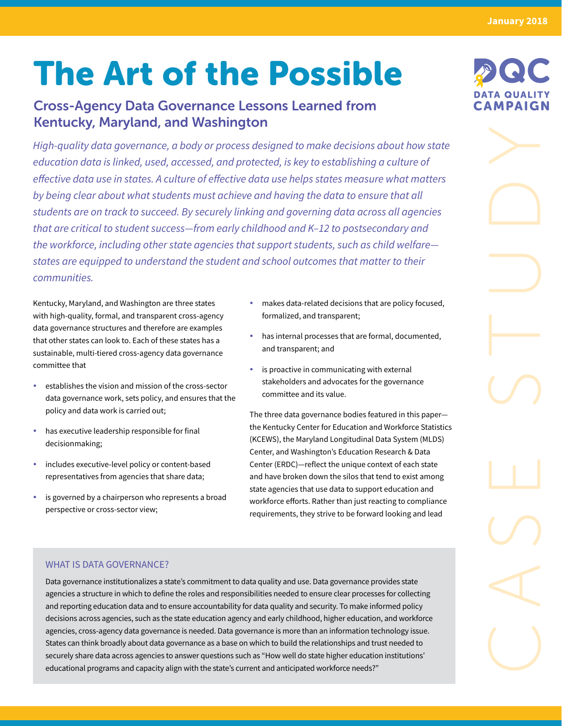**January 2018**

# The Art of the Possible

# Cross-Agency Data Governance Lessons Learned from Kentucky, Maryland, and Washington

*High-quality data governance, a body or process designed to make decisions about how state education data is linked, used, accessed, and protected, is key to establishing a culture of effective data use in states. A culture of effective data use helps states measure what matters by being clear about what students must achieve and having the data to ensure that all students are on track to succeed. By securely linking and governing data across all agencies that are critical to student success—from early childhood and K–12 to postsecondary and the workforce, including other state agencies that support students, such as child welfare states are equipped to understand the student and school outcomes that matter to their communities.* 

Kentucky, Maryland, and Washington are three states with high-quality, formal, and transparent cross-agency data governance structures and therefore are examples that other states can look to. Each of these states has a sustainable, multi-tiered cross-agency data governance committee that

- $\bullet$  establishes the vision and mission of the cross-sector data governance work, sets policy, and ensures that the policy and data work is carried out;
- has executive leadership responsible for final decisionmaking;
- includes executive-level policy or content-based representatives from agencies that share data;
- is governed by a chairperson who represents a broad perspective or cross-sector view;
- makes data-related decisions that are policy focused, formalized, and transparent;
- has internal processes that are formal, documented, and transparent; and
- $\cdot$  is proactive in communicating with external stakeholders and advocates for the governance committee and its value.

The three data governance bodies featured in this paper the Kentucky Center for Education and Workforce Statistics (KCEWS), the Maryland Longitudinal Data System (MLDS) Center, and Washington's Education Research & Data Center (ERDC)—reflect the unique context of each state and have broken down the silos that tend to exist among state agencies that use data to support education and workforce efforts. Rather than just reacting to compliance requirements, they strive to be forward looking and lead

# WHAT IS DATA GOVERNANCE?

Data governance institutionalizes a state's commitment to data quality and use. Data governance provides state agencies a structure in which to define the roles and responsibilities needed to ensure clear processes for collecting and reporting education data and to ensure accountability for data quality and security. To make informed policy decisions across agencies, such as the state education agency and early childhood, higher education, and workforce agencies, cross-agency data governance is needed. Data governance is more than an information technology issue. States can think broadly about data governance as a base on which to build the relationships and trust needed to securely share data across agencies to answer questions such as "How well do state higher education institutions' educational programs and capacity align with the state's current and anticipated workforce needs?"



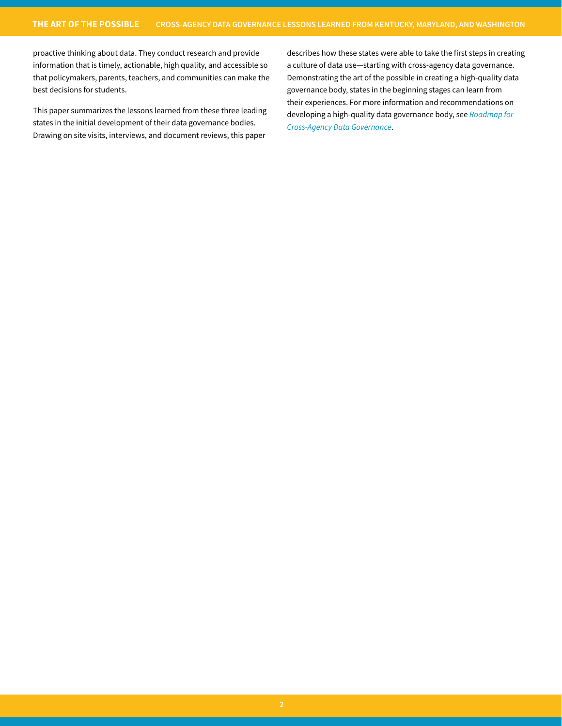proactive thinking about data. They conduct research and provide information that is timely, actionable, high quality, and accessible so that policymakers, parents, teachers, and communities can make the best decisions for students.

This paper summarizes the lessons learned from these three leading states in the initial development of their data governance bodies. Drawing on site visits, interviews, and document reviews, this paper

describes how these states were able to take the first steps in creating a culture of data use—starting with cross-agency data governance. Demonstrating the art of the possible in creating a high-quality data governance body, states in the beginning stages can learn from their experiences. For more information and recommendations on developing a high-quality data governance body, see *[Roadmap for](https://dataqualitycampaign.org/resource/roadmap-cross-agency-data-governance/)  [Cross-Agency Data Governance](https://dataqualitycampaign.org/resource/roadmap-cross-agency-data-governance/)*.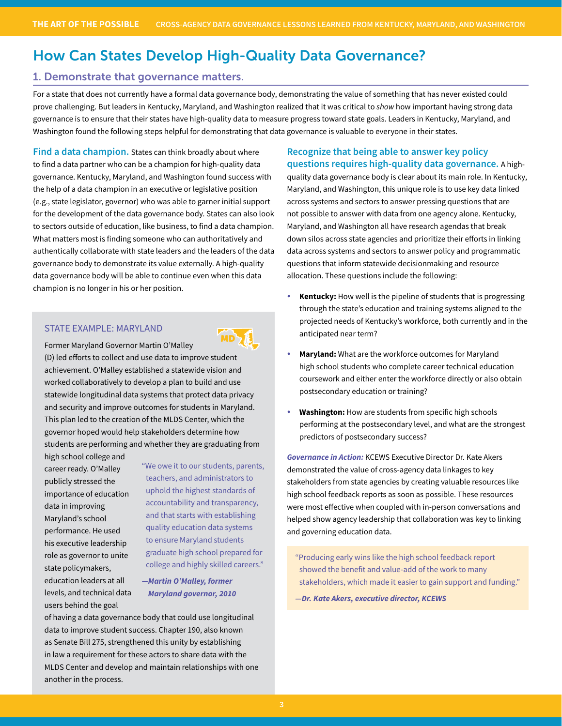# How Can States Develop High-Quality Data Governance?

## 1. Demonstrate that governance matters.

For a state that does not currently have a formal data governance body, demonstrating the value of something that has never existed could prove challenging. But leaders in Kentucky, Maryland, and Washington realized that it was critical to *show* how important having strong data governance is to ensure that their states have high-quality data to measure progress toward state goals. Leaders in Kentucky, Maryland, and Washington found the following steps helpful for demonstrating that data governance is valuable to everyone in their states.

**Find a data champion.** States can think broadly about where to find a data partner who can be a champion for high-quality data governance. Kentucky, Maryland, and Washington found success with the help of a data champion in an executive or legislative position (e.g., state legislator, governor) who was able to garner initial support for the development of the data governance body. States can also look to sectors outside of education, like business, to find a data champion. What matters most is finding someone who can authoritatively and authentically collaborate with state leaders and the leaders of the data governance body to demonstrate its value externally. A high-quality data governance body will be able to continue even when this data champion is no longer in his or her position.

## STATE EXAMPLE: MARYLAND

Former Maryland Governor Martin O'Malley (D) led efforts to collect and use data to improve student achievement. O'Malley established a statewide vision and worked collaboratively to develop a plan to build and use statewide longitudinal data systems that protect data privacy and security and improve outcomes for students in Maryland. This plan led to the creation of the MLDS Center, which the governor hoped would help stakeholders determine how students are performing and whether they are graduating from MD

high school college and career ready. O'Malley publicly stressed the importance of education data in improving Maryland's school performance. He used his executive leadership role as governor to unite state policymakers, education leaders at all levels, and technical data users behind the goal

"We owe it to our students, parents, teachers, and administrators to uphold the highest standards of accountability and transparency, and that starts with establishing quality education data systems to ensure Maryland students graduate high school prepared for college and highly skilled careers."

*—Martin O'Malley, former Maryland governor, 2010*

of having a data governance body that could use longitudinal data to improve student success. Chapter 190, also known as Senate Bill 275, strengthened this unity by establishing in law a requirement for these actors to share data with the MLDS Center and develop and maintain relationships with one another in the process.

**Recognize that being able to answer key policy questions requires high-quality data governance.** A high-

quality data governance body is clear about its main role. In Kentucky, Maryland, and Washington, this unique role is to use key data linked across systems and sectors to answer pressing questions that are not possible to answer with data from one agency alone. Kentucky, Maryland, and Washington all have research agendas that break down silos across state agencies and prioritize their efforts in linking data across systems and sectors to answer policy and programmatic questions that inform statewide decisionmaking and resource allocation. These questions include the following:

- **Kentucky:** How well is the pipeline of students that is progressing through the state's education and training systems aligned to the projected needs of Kentucky's workforce, both currently and in the anticipated near term?
- Maryland: What are the workforce outcomes for Maryland high school students who complete career technical education coursework and either enter the workforce directly or also obtain postsecondary education or training?
- **Washington:** How are students from specific high schools performing at the postsecondary level, and what are the strongest predictors of postsecondary success?

*Governance in Action:* KCEWS Executive Director Dr. Kate Akers demonstrated the value of cross-agency data linkages to key stakeholders from state agencies by creating valuable resources like high school feedback reports as soon as possible. These resources were most effective when coupled with in-person conversations and helped show agency leadership that collaboration was key to linking and governing education data.

"Producing early wins like the high school feedback report showed the benefit and value-add of the work to many stakeholders, which made it easier to gain support and funding."

*—Dr. Kate Akers, executive director, KCEWS*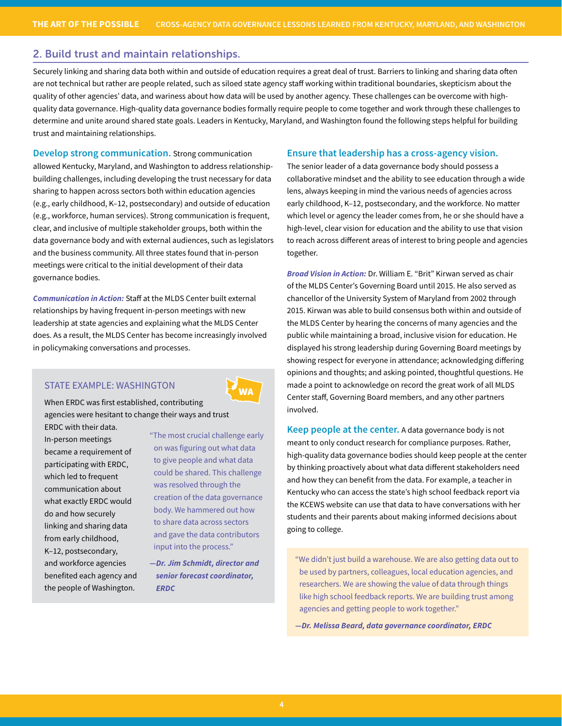## 2. Build trust and maintain relationships.

Securely linking and sharing data both within and outside of education requires a great deal of trust. Barriers to linking and sharing data often are not technical but rather are people related, such as siloed state agency staff working within traditional boundaries, skepticism about the quality of other agencies' data, and wariness about how data will be used by another agency. These challenges can be overcome with highquality data governance. High-quality data governance bodies formally require people to come together and work through these challenges to determine and unite around shared state goals. Leaders in Kentucky, Maryland, and Washington found the following steps helpful for building trust and maintaining relationships.

**Develop strong communication.** Strong communication allowed Kentucky, Maryland, and Washington to address relationshipbuilding challenges, including developing the trust necessary for data sharing to happen across sectors both within education agencies (e.g., early childhood, K–12, postsecondary) and outside of education (e.g., workforce, human services). Strong communication is frequent, clear, and inclusive of multiple stakeholder groups, both within the data governance body and with external audiences, such as legislators and the business community. All three states found that in-person meetings were critical to the initial development of their data governance bodies.

*Communication in Action:* Staff at the MLDS Center built external relationships by having frequent in-person meetings with new leadership at state agencies and explaining what the MLDS Center does. As a result, the MLDS Center has become increasingly involved in policymaking conversations and processes.

#### STATE EXAMPLE: WASHINGTON

WA

When ERDC was first established, contributing agencies were hesitant to change their ways and trust ERDC with their data.

In-person meetings became a requirement of participating with ERDC, which led to frequent communication about what exactly ERDC would do and how securely linking and sharing data from early childhood, K–12, postsecondary, and workforce agencies benefited each agency and the people of Washington.

"The most crucial challenge early on was figuring out what data to give people and what data could be shared. This challenge was resolved through the creation of the data governance body. We hammered out how to share data across sectors and gave the data contributors input into the process."

*—Dr. Jim Schmidt, director and senior forecast coordinator, ERDC*

#### **Ensure that leadership has a cross-agency vision.**

The senior leader of a data governance body should possess a collaborative mindset and the ability to see education through a wide lens, always keeping in mind the various needs of agencies across early childhood, K–12, postsecondary, and the workforce. No matter which level or agency the leader comes from, he or she should have a high-level, clear vision for education and the ability to use that vision to reach across different areas of interest to bring people and agencies together.

*Broad Vision in Action:* Dr. William E. "Brit" Kirwan served as chair of the MLDS Center's Governing Board until 2015. He also served as chancellor of the University System of Maryland from 2002 through 2015. Kirwan was able to build consensus both within and outside of the MLDS Center by hearing the concerns of many agencies and the public while maintaining a broad, inclusive vision for education. He displayed his strong leadership during Governing Board meetings by showing respect for everyone in attendance; acknowledging differing opinions and thoughts; and asking pointed, thoughtful questions. He made a point to acknowledge on record the great work of all MLDS Center staff, Governing Board members, and any other partners involved.

**Keep people at the center.** A data governance body is not meant to only conduct research for compliance purposes. Rather, high-quality data governance bodies should keep people at the center by thinking proactively about what data different stakeholders need and how they can benefit from the data. For example, a teacher in Kentucky who can access the state's high school feedback report via the KCEWS website can use that data to have conversations with her students and their parents about making informed decisions about going to college.

"We didn't just build a warehouse. We are also getting data out to be used by partners, colleagues, local education agencies, and researchers. We are showing the value of data through things like high school feedback reports. We are building trust among agencies and getting people to work together."

*—Dr. Melissa Beard, data governance coordinator, ERDC*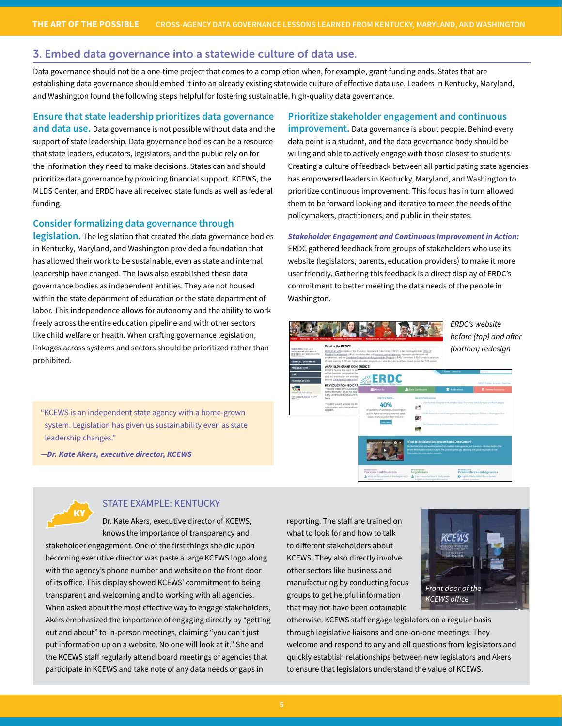### 3. Embed data governance into a statewide culture of data use.

Data governance should not be a one-time project that comes to a completion when, for example, grant funding ends. States that are establishing data governance should embed it into an already existing statewide culture of effective data use. Leaders in Kentucky, Maryland, and Washington found the following steps helpful for fostering sustainable, high-quality data governance.

## **Ensure that state leadership prioritizes data governance**

**and data use.** Data governance is not possible without data and the support of state leadership. Data governance bodies can be a resource that state leaders, educators, legislators, and the public rely on for the information they need to make decisions. States can and should prioritize data governance by providing financial support. KCEWS, the MLDS Center, and ERDC have all received state funds as well as federal funding.

## **Consider formalizing data governance through**

**legislation.** The legislation that created the data governance bodies in Kentucky, Maryland, and Washington provided a foundation that has allowed their work to be sustainable, even as state and internal leadership have changed. The laws also established these data governance bodies as independent entities. They are not housed within the state department of education or the state department of labor. This independence allows for autonomy and the ability to work freely across the entire education pipeline and with other sectors like child welfare or health. When crafting governance legislation, linkages across systems and sectors should be prioritized rather than prohibited.

"KCEWS is an independent state agency with a home-grown system. Legislation has given us sustainability even as state leadership changes."

*—Dr. Kate Akers, executive director, KCEWS* 

KY

## STATE EXAMPLE: KENTUCKY

Dr. Kate Akers, executive director of KCEWS, knows the importance of transparency and stakeholder engagement. One of the first things she did upon becoming executive director was paste a large KCEWS logo along with the agency's phone number and website on the front door of its office. This display showed KCEWS' commitment to being transparent and welcoming and to working with all agencies. When asked about the most effective way to engage stakeholders, Akers emphasized the importance of engaging directly by "getting out and about" to in-person meetings, claiming "you can't just put information up on a website. No one will look at it." She and the KCEWS staff regularly attend board meetings of agencies that participate in KCEWS and take note of any data needs or gaps in

**Prioritize stakeholder engagement and continuous improvement.** Data governance is about people. Behind every data point is a student, and the data governance body should be willing and able to actively engage with those closest to students. Creating a culture of feedback between all participating state agencies has empowered leaders in Kentucky, Maryland, and Washington to prioritize continuous improvement. This focus has in turn allowed them to be forward looking and iterative to meet the needs of the policymakers, practitioners, and public in their states.

*Stakeholder Engagement and Continuous Improvement in Action:* ERDC gathered feedback from groups of stakeholders who use its website (legislators, parents, education providers) to make it more user friendly. Gathering this feedback is a direct display of ERDC's commitment to better meeting the data needs of the people in Washington.



reporting. The staff are trained on what to look for and how to talk to different stakeholders about KCEWS. They also directly involve other sectors like business and manufacturing by conducting focus groups to get helpful information that may not have been obtainable



otherwise. KCEWS staff engage legislators on a regular basis through legislative liaisons and one-on-one meetings. They welcome and respond to any and all questions from legislators and quickly establish relationships between new legislators and Akers to ensure that legislators understand the value of KCEWS.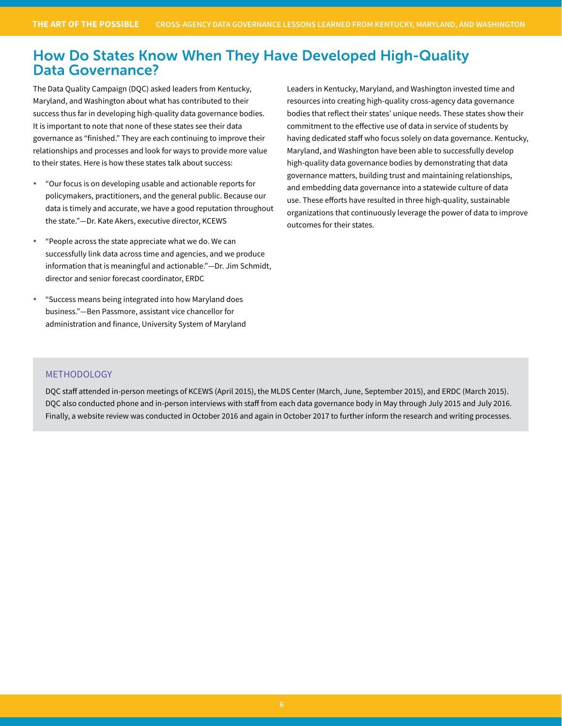# How Do States Know When They Have Developed High-Quality Data Governance?

The Data Quality Campaign (DQC) asked leaders from Kentucky, Maryland, and Washington about what has contributed to their success thus far in developing high-quality data governance bodies. It is important to note that none of these states see their data governance as "finished." They are each continuing to improve their relationships and processes and look for ways to provide more value to their states. Here is how these states talk about success:

- y "Our focus is on developing usable and actionable reports for policymakers, practitioners, and the general public. Because our data is timely and accurate, we have a good reputation throughout the state."—Dr. Kate Akers, executive director, KCEWS
- "People across the state appreciate what we do. We can successfully link data across time and agencies, and we produce information that is meaningful and actionable."—Dr. Jim Schmidt, director and senior forecast coordinator, ERDC
- "Success means being integrated into how Maryland does business."—Ben Passmore, assistant vice chancellor for administration and finance, University System of Maryland

Leaders in Kentucky, Maryland, and Washington invested time and resources into creating high-quality cross-agency data governance bodies that reflect their states' unique needs. These states show their commitment to the effective use of data in service of students by having dedicated staff who focus solely on data governance. Kentucky, Maryland, and Washington have been able to successfully develop high-quality data governance bodies by demonstrating that data governance matters, building trust and maintaining relationships, and embedding data governance into a statewide culture of data use. These efforts have resulted in three high-quality, sustainable organizations that continuously leverage the power of data to improve outcomes for their states.

## METHODOLOGY

DQC staff attended in-person meetings of KCEWS (April 2015), the MLDS Center (March, June, September 2015), and ERDC (March 2015). DQC also conducted phone and in-person interviews with staff from each data governance body in May through July 2015 and July 2016. Finally, a website review was conducted in October 2016 and again in October 2017 to further inform the research and writing processes.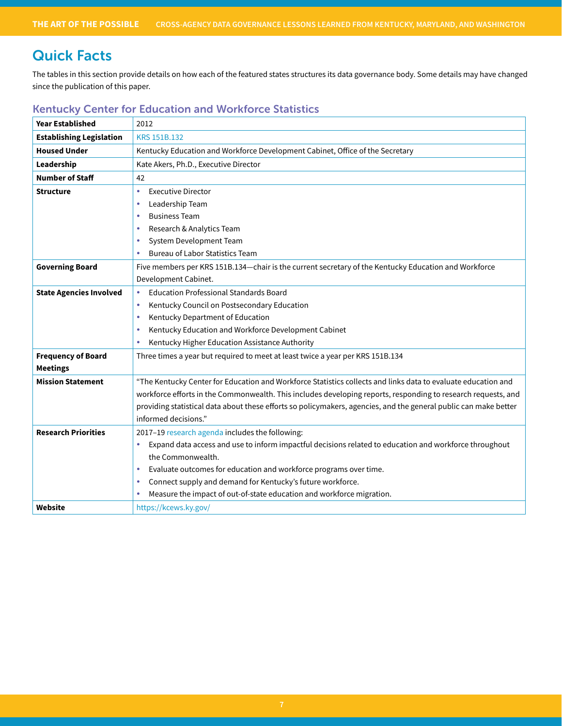# Quick Facts

The tables in this section provide details on how each of the featured states structures its data governance body. Some details may have changed since the publication of this paper.

| <b>Year Established</b>         | 2012                                                                                                             |
|---------------------------------|------------------------------------------------------------------------------------------------------------------|
| <b>Establishing Legislation</b> | <b>KRS 151B.132</b>                                                                                              |
| <b>Housed Under</b>             | Kentucky Education and Workforce Development Cabinet, Office of the Secretary                                    |
| Leadership                      | Kate Akers, Ph.D., Executive Director                                                                            |
| <b>Number of Staff</b>          | 42                                                                                                               |
| Structure                       | <b>Executive Director</b><br>$\bullet$                                                                           |
|                                 | Leadership Team<br>$\bullet$                                                                                     |
|                                 | <b>Business Team</b><br>$\bullet$                                                                                |
|                                 | Research & Analytics Team<br>$\bullet$                                                                           |
|                                 | System Development Team<br>۰                                                                                     |
|                                 | <b>Bureau of Labor Statistics Team</b>                                                                           |
| <b>Governing Board</b>          | Five members per KRS 151B.134-chair is the current secretary of the Kentucky Education and Workforce             |
|                                 | Development Cabinet.                                                                                             |
| <b>State Agencies Involved</b>  | <b>Education Professional Standards Board</b><br>$\bullet$                                                       |
|                                 | Kentucky Council on Postsecondary Education<br>۰                                                                 |
|                                 | Kentucky Department of Education<br>$\bullet$                                                                    |
|                                 | Kentucky Education and Workforce Development Cabinet<br>۰                                                        |
|                                 | Kentucky Higher Education Assistance Authority<br>$\bullet$                                                      |
| <b>Frequency of Board</b>       | Three times a year but required to meet at least twice a year per KRS 151B.134                                   |
| <b>Meetings</b>                 |                                                                                                                  |
| <b>Mission Statement</b>        | "The Kentucky Center for Education and Workforce Statistics collects and links data to evaluate education and    |
|                                 | workforce efforts in the Commonwealth. This includes developing reports, responding to research requests, and    |
|                                 | providing statistical data about these efforts so policymakers, agencies, and the general public can make better |
|                                 | informed decisions."                                                                                             |
| <b>Research Priorities</b>      | 2017-19 research agenda includes the following:                                                                  |
|                                 | Expand data access and use to inform impactful decisions related to education and workforce throughout<br>۰      |
|                                 | the Commonwealth.                                                                                                |
|                                 | Evaluate outcomes for education and workforce programs over time.<br>۰                                           |
|                                 | Connect supply and demand for Kentucky's future workforce.<br>۰                                                  |
|                                 | Measure the impact of out-of-state education and workforce migration.                                            |
| Website                         | https://kcews.ky.gov/                                                                                            |

# Kentucky Center for Education and Workforce Statistics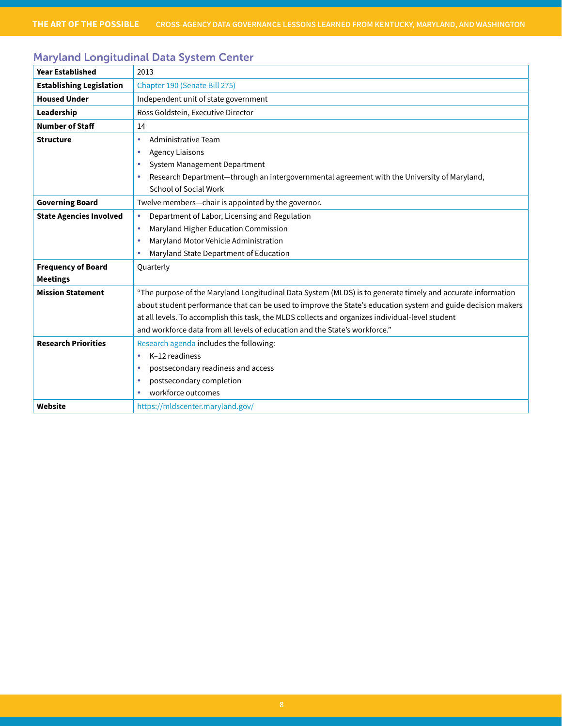# Maryland Longitudinal Data System Center

| <b>Year Established</b>         | 2013                                                                                                         |
|---------------------------------|--------------------------------------------------------------------------------------------------------------|
| <b>Establishing Legislation</b> | Chapter 190 (Senate Bill 275)                                                                                |
| <b>Housed Under</b>             | Independent unit of state government                                                                         |
| Leadership                      | Ross Goldstein, Executive Director                                                                           |
| <b>Number of Staff</b>          | 14                                                                                                           |
| <b>Structure</b>                | Administrative Team<br>$\bullet$                                                                             |
|                                 | <b>Agency Liaisons</b><br>۰                                                                                  |
|                                 | System Management Department<br>$\bullet$                                                                    |
|                                 | Research Department-through an intergovernmental agreement with the University of Maryland,<br>۰             |
|                                 | School of Social Work                                                                                        |
| <b>Governing Board</b>          | Twelve members-chair is appointed by the governor.                                                           |
| <b>State Agencies Involved</b>  | Department of Labor, Licensing and Regulation<br>$\bullet$                                                   |
|                                 | Maryland Higher Education Commission<br>٠                                                                    |
|                                 | Maryland Motor Vehicle Administration<br>$\bullet$                                                           |
|                                 | Maryland State Department of Education<br>۰                                                                  |
| <b>Frequency of Board</b>       | Quarterly                                                                                                    |
| <b>Meetings</b>                 |                                                                                                              |
| <b>Mission Statement</b>        | "The purpose of the Maryland Longitudinal Data System (MLDS) is to generate timely and accurate information  |
|                                 | about student performance that can be used to improve the State's education system and guide decision makers |
|                                 | at all levels. To accomplish this task, the MLDS collects and organizes individual-level student             |
|                                 | and workforce data from all levels of education and the State's workforce."                                  |
| <b>Research Priorities</b>      | Research agenda includes the following:                                                                      |
|                                 | K-12 readiness<br>۰                                                                                          |
|                                 | postsecondary readiness and access                                                                           |
|                                 | postsecondary completion                                                                                     |
|                                 | workforce outcomes<br>۰                                                                                      |
| Website                         | https://mldscenter.maryland.gov/                                                                             |